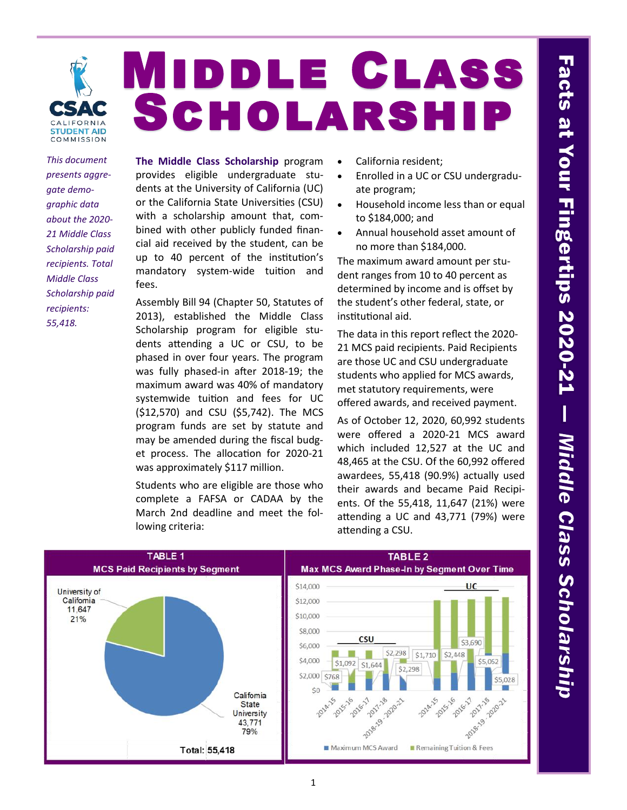

# Middle Class Scholarship

*This document presents aggregate demographic data about the 2020- 21 Middle Class Scholarship paid recipients. Total Middle Class Scholarship paid recipients: 55,418.*

**The Middle Class Scholarship** program provides eligible undergraduate students at the University of California (UC) or the California State Universities (CSU) with a scholarship amount that, combined with other publicly funded financial aid received by the student, can be up to 40 percent of the institution's mandatory system-wide tuition and fees.

Assembly Bill 94 (Chapter 50, Statutes of 2013), established the Middle Class Scholarship program for eligible students attending a UC or CSU, to be phased in over four years. The program was fully phased-in after 2018-19; the maximum award was 40% of mandatory systemwide tuition and fees for UC (\$12,570) and CSU (\$5,742). The MCS program funds are set by statute and may be amended during the fiscal budget process. The allocation for 2020-21 was approximately \$117 million.

Students who are eligible are those who complete a FAFSA or CADAA by the March 2nd deadline and meet the following criteria:

- California resident;
- Enrolled in a UC or CSU undergraduate program;
- Household income less than or equal to \$184,000; and
- Annual household asset amount of no more than \$184,000.

The maximum award amount per student ranges from 10 to 40 percent as determined by income and is offset by the student's other federal, state, or institutional aid.

The data in this report reflect the 2020- 21 MCS paid recipients. Paid Recipients are those UC and CSU undergraduate students who applied for MCS awards, met statutory requirements, were offered awards, and received payment.

As of October 12, 2020, 60,992 students were offered a 2020-21 MCS award which included 12,527 at the UC and 48,465 at the CSU. Of the 60,992 offered awardees, 55,418 (90.9%) actually used their awards and became Paid Recipients. Of the 55,418, 11,647 (21%) were attending a UC and 43,771 (79%) were attending a CSU.

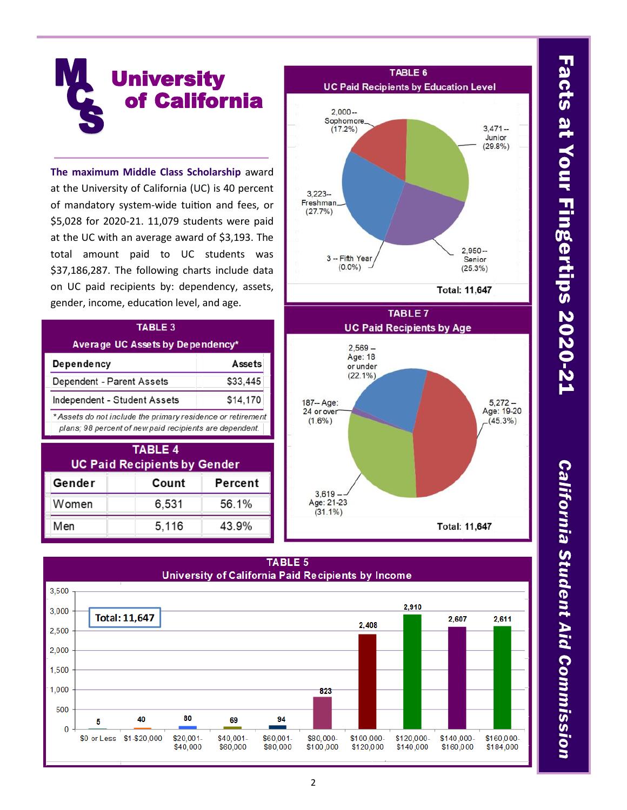

**The maximum Middle Class Scholarship** award at the University of California (UC) is 40 percent of mandatory system-wide tuition and fees, or \$5,028 for 2020-21. 11,079 students were paid at the UC with an average award of \$3,193. The total amount paid to UC students was \$37,186,287. The following charts include data on UC paid recipients by: dependency, assets, gender, income, education level, and age.

### TABLE 3

### Average UC Assets by Dependency\*

| Dependency                                                 | Assets   |
|------------------------------------------------------------|----------|
| Dependent - Parent Assets                                  | \$33,445 |
| Independent - Student Assets                               | \$14,170 |
| * Assets do not include the primary residence or retiremen |          |
| plans; 98 percent of new paid recipients are dependent.    |          |

| <b>TABLE 4</b><br><b>UC Paid Recipients by Gender</b> |       |         |  |  |
|-------------------------------------------------------|-------|---------|--|--|
| Gender                                                | Count | Percent |  |  |
| Women                                                 | 6,531 | 56.1%   |  |  |
| Men                                                   | 5,116 | 43.9%   |  |  |



### **TABLE 5**



California Student Aid Commission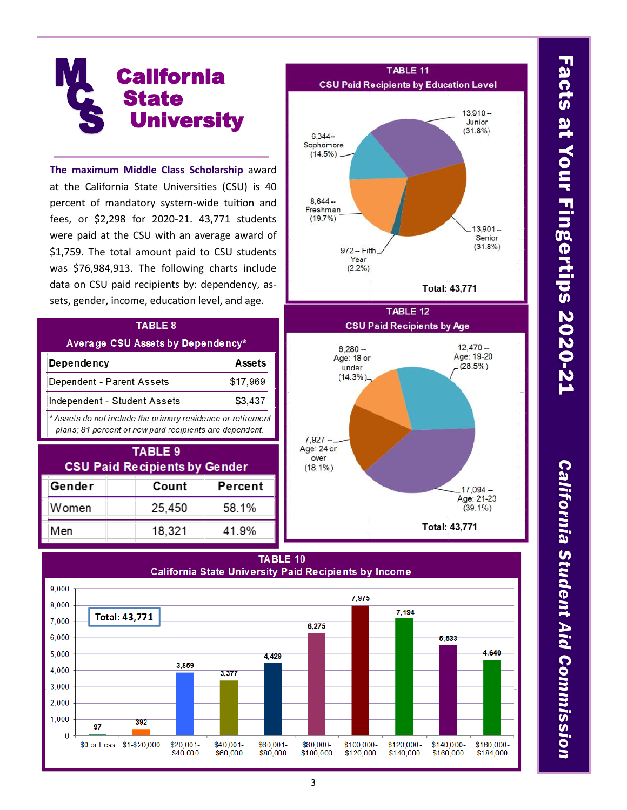### **California State University M**  $\mathcal{C}_{\mathbf{c}}$ **S**

**The maximum Middle Class Scholarship** award at the California State Universities (CSU) is 40 percent of mandatory system-wide tuition and fees, or \$2,298 for 2020-21. 43,771 students were paid at the CSU with an average award of \$1,759. The total amount paid to CSU students was \$76,984,913. The following charts include data on CSU paid recipients by: dependency, assets, gender, income, education level, and age.

### TABLE 8

### Average CSU Assets by Dependency\*

| <b>Dependency</b>            | Assets   |
|------------------------------|----------|
| Dependent - Parent Assets    | \$17.969 |
| Independent - Student Assets | \$3.437  |

\* Assets do not include the primary residence or retirement plans; 81 percent of new paid recipients are dependent.

| TABLE 9<br><b>CSU Paid Recipients by Gender</b> |        |         |  |  |
|-------------------------------------------------|--------|---------|--|--|
| Gender                                          | Count  | Percent |  |  |
| Women                                           | 25,450 | 58.1%   |  |  |
| Men                                             | 18,321 | 41.9%   |  |  |



Total: 43,771





# Facts at Your Fingertips 2020-21

California Student Aid Commission